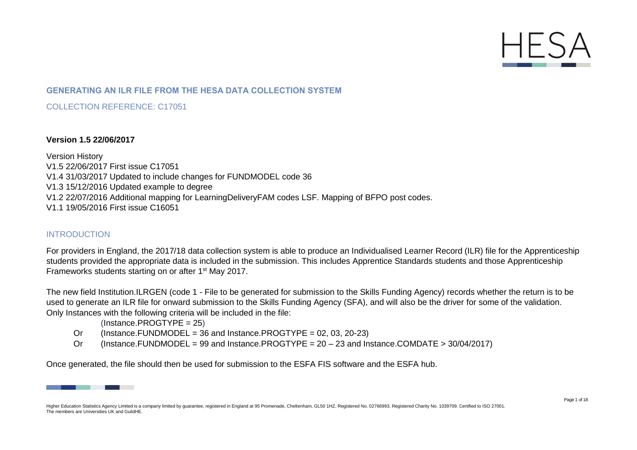

# **GENERATING AN ILR FILE FROM THE HESA DATA COLLECTION SYSTEM**

COLLECTION REFERENCE: C17051

#### **Version 1.5 22/06/2017**

Version History V1.5 22/06/2017 First issue C17051 V1.4 31/03/2017 Updated to include changes for FUNDMODEL code 36 V1.3 15/12/2016 Updated example to degree V1.2 22/07/2016 Additional mapping for LearningDeliveryFAM codes LSF. Mapping of BFPO post codes. V1.1 19/05/2016 First issue C16051

## INTRODUCTION

For providers in England, the 2017/18 data collection system is able to produce an Individualised Learner Record (ILR) file for the Apprenticeship students provided the appropriate data is included in the submission. This includes Apprentice Standards students and those Apprenticeship Frameworks students starting on or after 1st May 2017.

The new field Institution.ILRGEN (code 1 - File to be generated for submission to the Skills Funding Agency) records whether the return is to be used to generate an ILR file for onward submission to the Skills Funding Agency (SFA), and will also be the driver for some of the validation. Only Instances with the following criteria will be included in the file:

(Instance.PROGTYPE = 25)

- Or (Instance.FUNDMODEL = 36 and Instance.PROGTYPE =  $02, 03, 20-23$ )
- Or (Instance.FUNDMODEL = 99 and Instance.PROGTYPE = 20 23 and Instance.COMDATE > 30/04/2017)

Once generated, the file should then be used for submission to the ESFA FIS software and the ESFA hub.



Higher Education Statistics Agency Limited is a company limited by guarantee, registered in England at 95 Promenade, Cheltenham, GL50 1HZ. Registered No. 02766993. Registered Charity No. 1039709. Certified to ISO 27001. The members are Universities UK and GuildHE.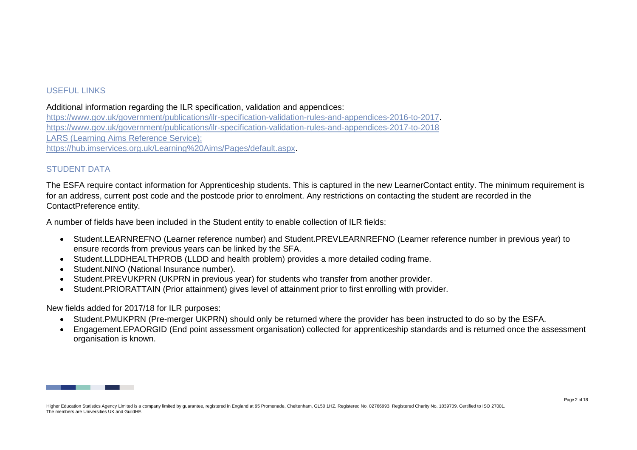## USEFUL LINKS

Additional information regarding the ILR specification, validation and appendices:

[https://www.gov.uk/government/publications/ilr-specification-validation-rules-and-appendices-2016-to-2017.](https://www.gov.uk/government/publications/ilr-specification-validation-rules-and-appendices-2016-to-2017) <https://www.gov.uk/government/publications/ilr-specification-validation-rules-and-appendices-2017-to-2018> LARS (Learning Aims Reference Service): [https://hub.imservices.org.uk/Learning%20Aims/Pages/default.aspx.](https://hub.imservices.org.uk/Learning%20Aims/Pages/default.aspx)

# STUDENT DATA

The ESFA require contact information for Apprenticeship students. This is captured in the new LearnerContact entity. The minimum requirement is for an address, current post code and the postcode prior to enrolment. Any restrictions on contacting the student are recorded in the ContactPreference entity.

A number of fields have been included in the Student entity to enable collection of ILR fields:

- Student.LEARNREFNO (Learner reference number) and Student.PREVLEARNREFNO (Learner reference number in previous year) to ensure records from previous years can be linked by the SFA.
- Student.LLDDHEALTHPROB (LLDD and health problem) provides a more detailed coding frame.
- Student.NINO (National Insurance number).
- Student.PREVUKPRN (UKPRN in previous year) for students who transfer from another provider.
- Student.PRIORATTAIN (Prior attainment) gives level of attainment prior to first enrolling with provider.

New fields added for 2017/18 for ILR purposes:

- Student.PMUKPRN (Pre-merger UKPRN) should only be returned where the provider has been instructed to do so by the ESFA.
- Engagement.EPAORGID (End point assessment organisation) collected for apprenticeship standards and is returned once the assessment organisation is known.

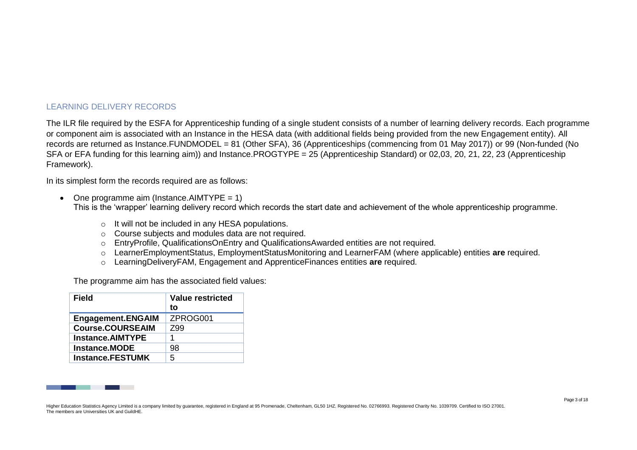# LEARNING DELIVERY RECORDS

The ILR file required by the ESFA for Apprenticeship funding of a single student consists of a number of learning delivery records. Each programme or component aim is associated with an Instance in the HESA data (with additional fields being provided from the new Engagement entity). All records are returned as Instance.FUNDMODEL = 81 (Other SFA), 36 (Apprenticeships (commencing from 01 May 2017)) or 99 (Non-funded (No SFA or EFA funding for this learning aim)) and Instance.PROGTYPE = 25 (Apprenticeship Standard) or 02,03, 20, 21, 22, 23 (Apprenticeship Framework).

In its simplest form the records required are as follows:

- One programme aim (Instance.AIMTYPE =  $1$ ) This is the 'wrapper' learning delivery record which records the start date and achievement of the whole apprenticeship programme.
	- o It will not be included in any HESA populations.
	- o Course subjects and modules data are not required.
	- o EntryProfile, QualificationsOnEntry and QualificationsAwarded entities are not required.
	- o LearnerEmploymentStatus, EmploymentStatusMonitoring and LearnerFAM (where applicable) entities **are** required.
	- o LearningDeliveryFAM, Engagement and ApprenticeFinances entities **are** required.

The programme aim has the associated field values:

| <b>Field</b>             | <b>Value restricted</b> |
|--------------------------|-------------------------|
|                          | to                      |
| <b>Engagement.ENGAIM</b> | ZPROG001                |
| <b>Course.COURSEAIM</b>  | Z99                     |
| <b>Instance.AIMTYPE</b>  |                         |
| <b>Instance.MODE</b>     | 98                      |
| <b>Instance.FESTUMK</b>  | 5                       |

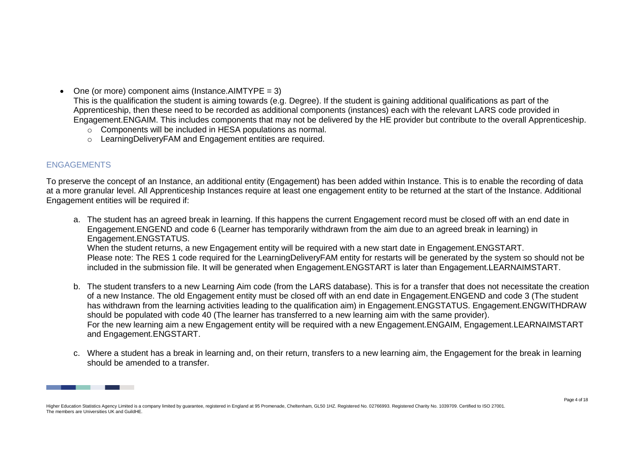• One (or more) component aims (Instance.AIMTYPE =  $3$ )

This is the qualification the student is aiming towards (e.g. Degree). If the student is gaining additional qualifications as part of the Apprenticeship, then these need to be recorded as additional components (instances) each with the relevant LARS code provided in Engagement.ENGAIM. This includes components that may not be delivered by the HE provider but contribute to the overall Apprenticeship.

- $\circ$  Components will be included in HESA populations as normal.
- o LearningDeliveryFAM and Engagement entities are required.

# **ENGAGEMENTS**

To preserve the concept of an Instance, an additional entity (Engagement) has been added within Instance. This is to enable the recording of data at a more granular level. All Apprenticeship Instances require at least one engagement entity to be returned at the start of the Instance. Additional Engagement entities will be required if:

- a. The student has an agreed break in learning. If this happens the current Engagement record must be closed off with an end date in Engagement.ENGEND and code 6 (Learner has temporarily withdrawn from the aim due to an agreed break in learning) in Engagement.ENGSTATUS. When the student returns, a new Engagement entity will be required with a new start date in Engagement.ENGSTART. Please note: The RES 1 code required for the LearningDeliveryFAM entity for restarts will be generated by the system so should not be included in the submission file. It will be generated when Engagement.ENGSTART is later than Engagement.LEARNAIMSTART.
- b. The student transfers to a new Learning Aim code (from the LARS database). This is for a transfer that does not necessitate the creation of a new Instance. The old Engagement entity must be closed off with an end date in Engagement.ENGEND and code 3 (The student has withdrawn from the learning activities leading to the qualification aim) in Engagement.ENGSTATUS. Engagement.ENGWITHDRAW should be populated with code 40 (The learner has transferred to a new learning aim with the same provider). For the new learning aim a new Engagement entity will be required with a new Engagement.ENGAIM, Engagement.LEARNAIMSTART and Engagement.ENGSTART.
- c. Where a student has a break in learning and, on their return, transfers to a new learning aim, the Engagement for the break in learning should be amended to a transfer.

Higher Education Statistics Agency Limited is a company limited by guarantee, registered in England at 95 Promenade, Cheltenham, GL50 1HZ. Registered No. 02766993. Registered Charity No. 1039709. Certified to ISO 27001. The members are Universities UK and GuildHE.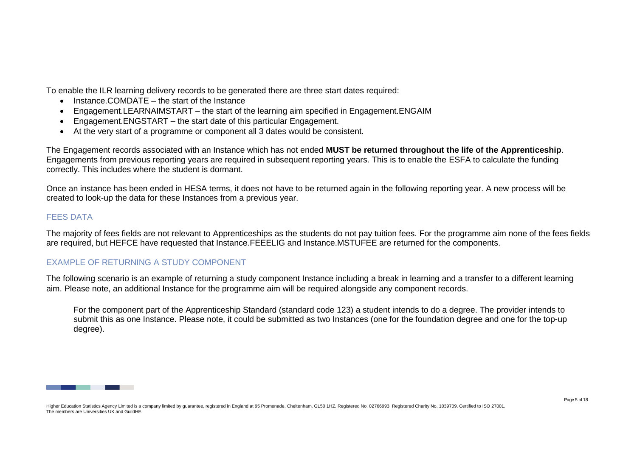To enable the ILR learning delivery records to be generated there are three start dates required:

- Instance.COMDATE the start of the Instance
- Engagement.LEARNAIMSTART the start of the learning aim specified in Engagement.ENGAIM
- Engagement.ENGSTART the start date of this particular Engagement.
- At the very start of a programme or component all 3 dates would be consistent.

The Engagement records associated with an Instance which has not ended **MUST be returned throughout the life of the Apprenticeship**. Engagements from previous reporting years are required in subsequent reporting years. This is to enable the ESFA to calculate the funding correctly. This includes where the student is dormant.

Once an instance has been ended in HESA terms, it does not have to be returned again in the following reporting year. A new process will be created to look-up the data for these Instances from a previous year.

## FEES DATA

The majority of fees fields are not relevant to Apprenticeships as the students do not pay tuition fees. For the programme aim none of the fees fields are required, but HEFCE have requested that Instance.FEEELIG and Instance.MSTUFEE are returned for the components.

# EXAMPLE OF RETURNING A STUDY COMPONENT

The following scenario is an example of returning a study component Instance including a break in learning and a transfer to a different learning aim. Please note, an additional Instance for the programme aim will be required alongside any component records.

For the component part of the Apprenticeship Standard (standard code 123) a student intends to do a degree. The provider intends to submit this as one Instance. Please note, it could be submitted as two Instances (one for the foundation degree and one for the top-up degree).

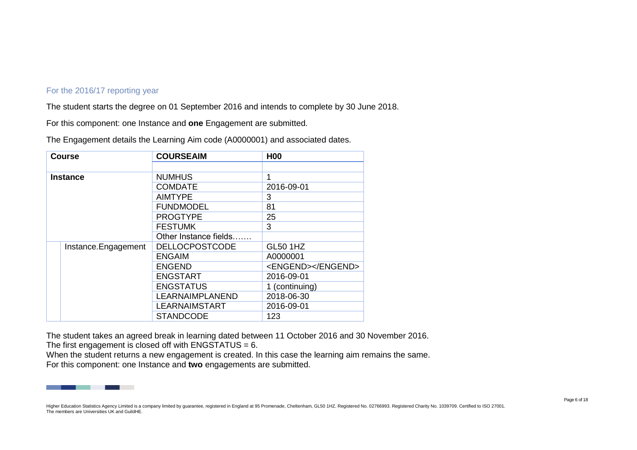### For the 2016/17 reporting year

The student starts the degree on 01 September 2016 and intends to complete by 30 June 2018.

For this component: one Instance and **one** Engagement are submitted.

The Engagement details the Learning Aim code (A0000001) and associated dates.

| <b>Course</b>       | <b>COURSEAIM</b>      | <b>H00</b>        |
|---------------------|-----------------------|-------------------|
|                     |                       |                   |
| <b>Instance</b>     | <b>NUMHUS</b>         | 1                 |
|                     | <b>COMDATE</b>        | 2016-09-01        |
|                     | <b>AIMTYPE</b>        | 3                 |
|                     | <b>FUNDMODEL</b>      | 81                |
|                     | <b>PROGTYPE</b>       | 25                |
|                     | <b>FESTUMK</b>        | 3                 |
|                     | Other Instance fields |                   |
| Instance.Engagement | <b>DELLOCPOSTCODE</b> | <b>GL50 1HZ</b>   |
|                     | <b>ENGAIM</b>         | A0000001          |
|                     | <b>ENGEND</b>         | <engend></engend> |
|                     | <b>ENGSTART</b>       | 2016-09-01        |
|                     | <b>ENGSTATUS</b>      | 1 (continuing)    |
|                     | LEARNAIMPLANEND       | 2018-06-30        |
|                     | <b>LEARNAIMSTART</b>  | 2016-09-01        |
|                     | <b>STANDCODE</b>      | 123               |

The student takes an agreed break in learning dated between 11 October 2016 and 30 November 2016. The first engagement is closed off with ENGSTATUS = 6.

When the student returns a new engagement is created. In this case the learning aim remains the same. For this component: one Instance and **two** engagements are submitted.



Higher Education Statistics Agency Limited is a company limited by guarantee, registered in England at 95 Promenade, Cheltenham, GL50 1HZ. Registered No. 02766993. Registered Charity No. 1039709. Certified to ISO 27001. The members are Universities UK and GuildHE.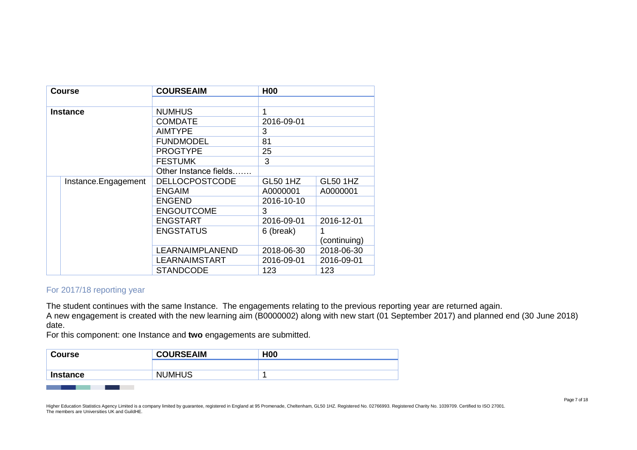| <b>Course</b> |                     | <b>COURSEAIM</b>       | <b>H00</b>      |                 |
|---------------|---------------------|------------------------|-----------------|-----------------|
|               |                     |                        |                 |                 |
|               | <b>Instance</b>     | <b>NUMHUS</b>          | 1               |                 |
|               |                     | <b>COMDATE</b>         | 2016-09-01      |                 |
|               |                     | <b>AIMTYPE</b>         | 3               |                 |
|               |                     | <b>FUNDMODEL</b>       | 81              |                 |
|               |                     | <b>PROGTYPE</b>        | 25              |                 |
|               |                     | <b>FESTUMK</b>         | 3               |                 |
|               |                     | Other Instance fields  |                 |                 |
|               | Instance.Engagement | <b>DELLOCPOSTCODE</b>  | <b>GL50 1HZ</b> | <b>GL50 1HZ</b> |
|               |                     | <b>ENGAIM</b>          | A0000001        | A0000001        |
|               |                     | <b>ENGEND</b>          | 2016-10-10      |                 |
|               |                     | <b>ENGOUTCOME</b>      | 3               |                 |
|               |                     | <b>ENGSTART</b>        | 2016-09-01      | 2016-12-01      |
|               |                     | <b>ENGSTATUS</b>       | 6 (break)       |                 |
|               |                     |                        |                 | (continuing)    |
|               |                     | <b>LEARNAIMPLANEND</b> | 2018-06-30      | 2018-06-30      |
|               |                     | LEARNAIMSTART          | 2016-09-01      | 2016-09-01      |
|               |                     | <b>STANDCODE</b>       | 123             | 123             |

# For 2017/18 reporting year

The student continues with the same Instance. The engagements relating to the previous reporting year are returned again.

A new engagement is created with the new learning aim (B0000002) along with new start (01 September 2017) and planned end (30 June 2018) date.

For this component: one Instance and **two** engagements are submitted.

| <b>Course</b> | <b>COURSEAIM</b> | H <sub>00</sub> |
|---------------|------------------|-----------------|
|               |                  |                 |
| Instance      | <b>NUMHUS</b>    |                 |
|               |                  |                 |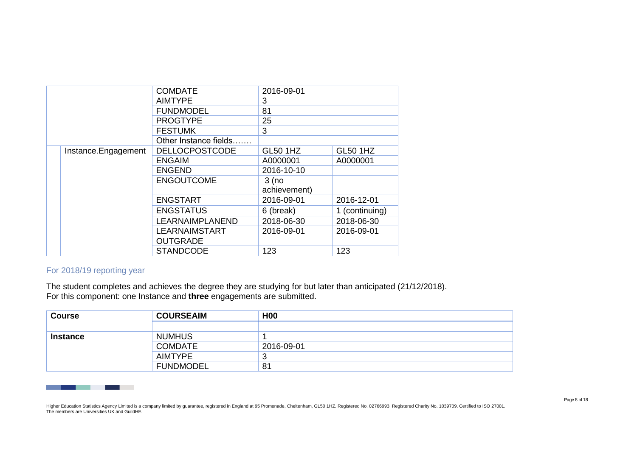|  |                     | <b>COMDATE</b>         | 2016-09-01      |                 |
|--|---------------------|------------------------|-----------------|-----------------|
|  |                     | <b>AIMTYPE</b>         | 3               |                 |
|  |                     | <b>FUNDMODEL</b>       | 81              |                 |
|  |                     | <b>PROGTYPE</b>        | 25              |                 |
|  |                     | <b>FESTUMK</b>         | 3               |                 |
|  |                     | Other Instance fields  |                 |                 |
|  | Instance.Engagement | <b>DELLOCPOSTCODE</b>  | <b>GL50 1HZ</b> | <b>GL50 1HZ</b> |
|  |                     | <b>ENGAIM</b>          | A0000001        | A0000001        |
|  |                     | <b>ENGEND</b>          | 2016-10-10      |                 |
|  |                     | <b>ENGOUTCOME</b>      | $3$ (no         |                 |
|  |                     |                        | achievement)    |                 |
|  |                     | <b>ENGSTART</b>        | 2016-09-01      | 2016-12-01      |
|  |                     | <b>ENGSTATUS</b>       | 6 (break)       | 1 (continuing)  |
|  |                     | <b>LEARNAIMPLANEND</b> | 2018-06-30      | 2018-06-30      |
|  |                     | <b>LEARNAIMSTART</b>   | 2016-09-01      | 2016-09-01      |
|  |                     | <b>OUTGRADE</b>        |                 |                 |
|  |                     | <b>STANDCODE</b>       | 123             | 123             |

## For 2018/19 reporting year

The student completes and achieves the degree they are studying for but later than anticipated (21/12/2018). For this component: one Instance and **three** engagements are submitted.

| <b>Course</b>   | <b>COURSEAIM</b> | <b>H00</b> |
|-----------------|------------------|------------|
|                 |                  |            |
| <b>Instance</b> | <b>NUMHUS</b>    |            |
|                 | <b>COMDATE</b>   | 2016-09-01 |
|                 | AIMTYPE          | J          |
|                 | <b>FUNDMODEL</b> | 81         |

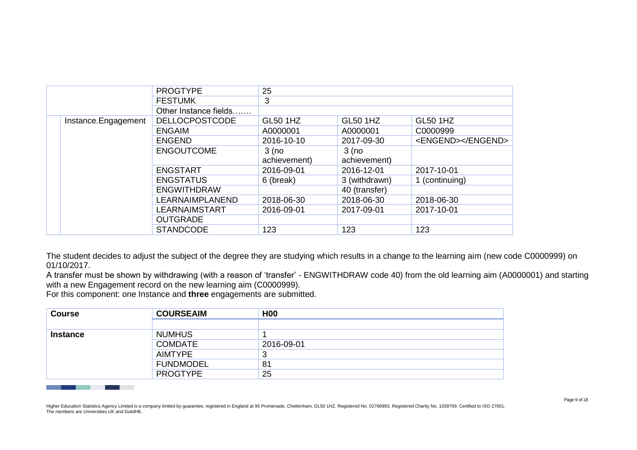|                     | <b>PROGTYPE</b>       | 25              |                 |                   |
|---------------------|-----------------------|-----------------|-----------------|-------------------|
|                     | <b>FESTUMK</b>        | 3               |                 |                   |
|                     | Other Instance fields |                 |                 |                   |
| Instance.Engagement | <b>DELLOCPOSTCODE</b> | <b>GL50 1HZ</b> | <b>GL50 1HZ</b> | <b>GL50 1HZ</b>   |
|                     | <b>ENGAIM</b>         | A0000001        | A0000001        | C0000999          |
|                     | <b>ENGEND</b>         | 2016-10-10      | 2017-09-30      | <engend></engend> |
|                     | <b>ENGOUTCOME</b>     | $3$ (no         | $3$ (no         |                   |
|                     |                       | achievement)    | achievement)    |                   |
|                     | <b>ENGSTART</b>       | 2016-09-01      | 2016-12-01      | 2017-10-01        |
|                     | <b>ENGSTATUS</b>      | 6 (break)       | 3 (withdrawn)   | 1 (continuing)    |
|                     | <b>ENGWITHDRAW</b>    |                 | 40 (transfer)   |                   |
|                     | LEARNAIMPLANEND       | 2018-06-30      | 2018-06-30      | 2018-06-30        |
|                     | <b>LEARNAIMSTART</b>  | 2016-09-01      | 2017-09-01      | 2017-10-01        |
|                     | <b>OUTGRADE</b>       |                 |                 |                   |
|                     | <b>STANDCODE</b>      | 123             | 123             | 123               |

The student decides to adjust the subject of the degree they are studying which results in a change to the learning aim (new code C0000999) on 01/10/2017.

A transfer must be shown by withdrawing (with a reason of 'transfer' - ENGWITHDRAW code 40) from the old learning aim (A0000001) and starting with a new Engagement record on the new learning aim (C0000999).

For this component: one Instance and **three** engagements are submitted.

| <b>COURSEAIM</b> | <b>H00</b> |
|------------------|------------|
|                  |            |
| <b>NUMHUS</b>    |            |
| <b>COMDATE</b>   | 2016-09-01 |
| AIMTYPE          | J          |
| <b>FUNDMODEL</b> | 81         |
| <b>PROGTYPE</b>  | 25         |
|                  |            |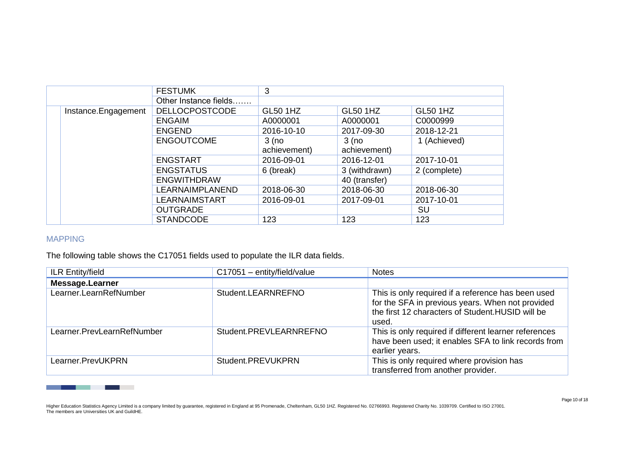|                     | <b>FESTUMK</b>        | 3                       |                         |                 |
|---------------------|-----------------------|-------------------------|-------------------------|-----------------|
|                     | Other Instance fields |                         |                         |                 |
| Instance.Engagement | <b>DELLOCPOSTCODE</b> | <b>GL50 1HZ</b>         | <b>GL50 1HZ</b>         | <b>GL50 1HZ</b> |
|                     | <b>ENGAIM</b>         | A0000001                | A0000001                | C0000999        |
|                     | <b>ENGEND</b>         | 2016-10-10              | 2017-09-30              | 2018-12-21      |
|                     | <b>ENGOUTCOME</b>     | $3$ (no<br>achievement) | $3$ (no<br>achievement) | 1 (Achieved)    |
|                     | <b>ENGSTART</b>       | 2016-09-01              | 2016-12-01              | 2017-10-01      |
|                     | <b>ENGSTATUS</b>      | 6 (break)               | 3 (withdrawn)           | 2 (complete)    |
|                     | <b>ENGWITHDRAW</b>    |                         | 40 (transfer)           |                 |
|                     | LEARNAIMPLANEND       | 2018-06-30              | 2018-06-30              | 2018-06-30      |
|                     | LEARNAIMSTART         | 2016-09-01              | 2017-09-01              | 2017-10-01      |
|                     | <b>OUTGRADE</b>       |                         |                         | SU              |
|                     | <b>STANDCODE</b>      | 123                     | 123                     | 123             |

### MAPPING

and the control of

a sa Tanzania

The following table shows the C17051 fields used to populate the ILR data fields.

| <b>ILR Entity/field</b>    | $C17051 -$ entity/field/value | <b>Notes</b>                                                                                                                                                         |
|----------------------------|-------------------------------|----------------------------------------------------------------------------------------------------------------------------------------------------------------------|
| <b>Message.Learner</b>     |                               |                                                                                                                                                                      |
| Learner.LearnRefNumber     | Student.LEARNREFNO            | This is only required if a reference has been used<br>for the SFA in previous years. When not provided<br>the first 12 characters of Student. HUSID will be<br>used. |
| Learner.PrevLearnRefNumber | Student.PREVLEARNREFNO        | This is only required if different learner references<br>have been used; it enables SFA to link records from<br>earlier years.                                       |
| Learner.PrevUKPRN          | Student.PREVUKPRN             | This is only required where provision has<br>transferred from another provider.                                                                                      |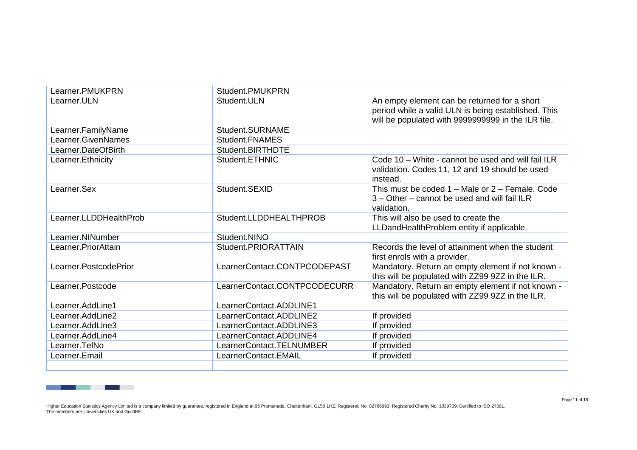| Learner.PMUKPRN        | Student.PMUKPRN              |                                                                                                                                                           |
|------------------------|------------------------------|-----------------------------------------------------------------------------------------------------------------------------------------------------------|
| Learner.ULN            | Student.ULN                  | An empty element can be returned for a short<br>period while a valid ULN is being established. This<br>will be populated with 9999999999 in the ILR file. |
| Learner.FamilyName     | Student.SURNAME              |                                                                                                                                                           |
| Learner.GivenNames     | Student.FNAMES               |                                                                                                                                                           |
| Learner.DateOfBirth    | Student.BIRTHDTE             |                                                                                                                                                           |
| Learner. Ethnicity     | Student.ETHNIC               | Code 10 – White - cannot be used and will fail ILR<br>validation. Codes 11, 12 and 19 should be used<br>instead.                                          |
| Learner.Sex            | Student.SEXID                | This must be coded $1 -$ Male or $2 -$ Female. Code<br>3 – Other – cannot be used and will fail ILR<br>validation.                                        |
| Learner.LLDDHealthProb | Student.LLDDHEALTHPROB       | This will also be used to create the<br>LLDandHealthProblem entity if applicable.                                                                         |
| Learner.NINumber       | Student.NINO                 |                                                                                                                                                           |
| Learner.PriorAttain    | Student.PRIORATTAIN          | Records the level of attainment when the student<br>first enrols with a provider.                                                                         |
| Learner.PostcodePrior  | LearnerContact.CONTPCODEPAST | Mandatory. Return an empty element if not known -<br>this will be populated with ZZ99 9ZZ in the ILR.                                                     |
| Learner.Postcode       | LearnerContact.CONTPCODECURR | Mandatory. Return an empty element if not known -<br>this will be populated with ZZ99 9ZZ in the ILR.                                                     |
| Learner.AddLine1       | LearnerContact.ADDLINE1      |                                                                                                                                                           |
| Learner.AddLine2       | LearnerContact.ADDLINE2      | If provided                                                                                                                                               |
| Learner.AddLine3       | LearnerContact.ADDLINE3      | If provided                                                                                                                                               |
| Learner.AddLine4       | LearnerContact.ADDLINE4      | If provided                                                                                                                                               |
| Learner.TelNo          | LearnerContact.TELNUMBER     | If provided                                                                                                                                               |
| Learner.Email          | LearnerContact.EMAIL         | If provided                                                                                                                                               |
|                        |                              |                                                                                                                                                           |

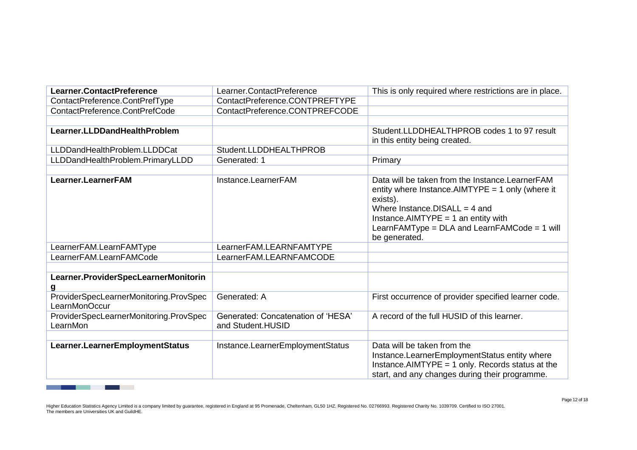| Learner.ContactPreference                               | Learner.ContactPreference                               | This is only required where restrictions are in place.                                                                                                                                                                                                             |
|---------------------------------------------------------|---------------------------------------------------------|--------------------------------------------------------------------------------------------------------------------------------------------------------------------------------------------------------------------------------------------------------------------|
| ContactPreference.ContPrefType                          | ContactPreference.CONTPREFTYPE                          |                                                                                                                                                                                                                                                                    |
| ContactPreference.ContPrefCode                          | ContactPreference.CONTPREFCODE                          |                                                                                                                                                                                                                                                                    |
|                                                         |                                                         |                                                                                                                                                                                                                                                                    |
| Learner.LLDDandHealthProblem                            |                                                         | Student.LLDDHEALTHPROB codes 1 to 97 result<br>in this entity being created.                                                                                                                                                                                       |
| LLDDandHealthProblem.LLDDCat                            | Student.LLDDHEALTHPROB                                  |                                                                                                                                                                                                                                                                    |
| LLDDandHealthProblem.PrimaryLLDD                        | Generated: 1                                            | Primary                                                                                                                                                                                                                                                            |
|                                                         |                                                         |                                                                                                                                                                                                                                                                    |
| Learner.LearnerFAM                                      | Instance.LearnerFAM                                     | Data will be taken from the Instance. Learner FAM<br>entity where Instance. AIMTYPE = 1 only (where it<br>exists).<br>Where Instance. DISALL = $4$ and<br>Instance.AIMTYPE = 1 an entity with<br>LearnFAMType = $DLA$ and $LearnFAMCode = 1$ will<br>be generated. |
| LearnerFAM.LearnFAMType                                 | LearnerFAM.LEARNFAMTYPE                                 |                                                                                                                                                                                                                                                                    |
| LearnerFAM.LearnFAMCode                                 | LearnerFAM.LEARNFAMCODE                                 |                                                                                                                                                                                                                                                                    |
|                                                         |                                                         |                                                                                                                                                                                                                                                                    |
| Learner.ProviderSpecLearnerMonitorin                    |                                                         |                                                                                                                                                                                                                                                                    |
| ProviderSpecLearnerMonitoring.ProvSpec<br>LearnMonOccur | Generated: A                                            | First occurrence of provider specified learner code.                                                                                                                                                                                                               |
| ProviderSpecLearnerMonitoring.ProvSpec<br>LearnMon      | Generated: Concatenation of 'HESA'<br>and Student.HUSID | A record of the full HUSID of this learner.                                                                                                                                                                                                                        |
|                                                         |                                                         |                                                                                                                                                                                                                                                                    |
| Learner.LearnerEmploymentStatus                         | Instance.LearnerEmploymentStatus                        | Data will be taken from the<br>Instance.LearnerEmploymentStatus entity where<br>Instance. AIMTYPE $=$ 1 only. Records status at the<br>start, and any changes during their programme.                                                                              |

and the company of the company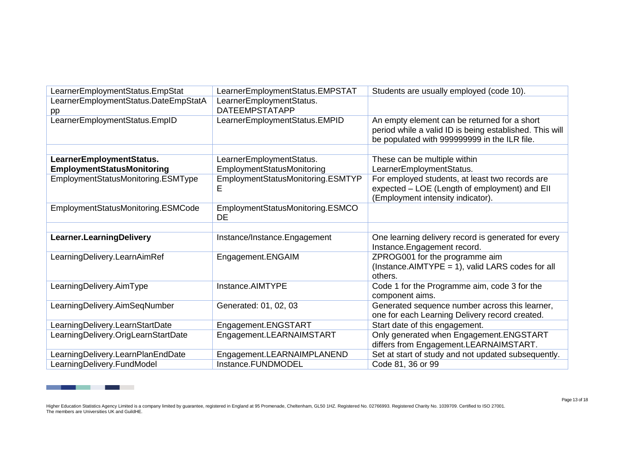| LearnerEmploymentStatus.EmpStat                               | LearnerEmploymentStatus.EMPSTAT                               | Students are usually employed (code 10).                                                                                                                |
|---------------------------------------------------------------|---------------------------------------------------------------|---------------------------------------------------------------------------------------------------------------------------------------------------------|
| LearnerEmploymentStatus.DateEmpStatA<br>pp                    | LearnerEmploymentStatus.<br><b>DATEEMPSTATAPP</b>             |                                                                                                                                                         |
| LearnerEmploymentStatus.EmplD                                 | LearnerEmploymentStatus.EMPID                                 | An empty element can be returned for a short<br>period while a valid ID is being established. This will<br>be populated with 999999999 in the ILR file. |
|                                                               |                                                               |                                                                                                                                                         |
| LearnerEmploymentStatus.<br><b>EmploymentStatusMonitoring</b> | LearnerEmploymentStatus.<br><b>EmploymentStatusMonitoring</b> | These can be multiple within<br>LearnerEmploymentStatus.                                                                                                |
| EmploymentStatusMonitoring.ESMType                            | EmploymentStatusMonitoring.ESMTYP<br>Е                        | For employed students, at least two records are<br>expected - LOE (Length of employment) and EII<br>(Employment intensity indicator).                   |
| EmploymentStatusMonitoring.ESMCode                            | EmploymentStatusMonitoring.ESMCO<br>DE                        |                                                                                                                                                         |
|                                                               |                                                               |                                                                                                                                                         |
| Learner.LearningDelivery                                      | Instance/Instance.Engagement                                  | One learning delivery record is generated for every<br>Instance.Engagement record.                                                                      |
| LearningDelivery.LearnAimRef                                  | Engagement.ENGAIM                                             | ZPROG001 for the programme aim<br>(Instance.AIMTYPE = 1), valid LARS codes for all<br>others.                                                           |
| LearningDelivery.AimType                                      | Instance.AIMTYPE                                              | Code 1 for the Programme aim, code 3 for the<br>component aims.                                                                                         |
| LearningDelivery.AimSeqNumber                                 | Generated: 01, 02, 03                                         | Generated sequence number across this learner,<br>one for each Learning Delivery record created.                                                        |
| LearningDelivery.LearnStartDate                               | Engagement.ENGSTART                                           | Start date of this engagement.                                                                                                                          |
| LearningDelivery.OrigLearnStartDate                           | Engagement.LEARNAIMSTART                                      | Only generated when Engagement.ENGSTART<br>differs from Engagement.LEARNAIMSTART.                                                                       |
| LearningDelivery.LearnPlanEndDate                             | Engagement.LEARNAIMPLANEND                                    | Set at start of study and not updated subsequently.                                                                                                     |
| LearningDelivery.FundModel                                    | Instance.FUNDMODEL                                            | Code 81, 36 or 99                                                                                                                                       |

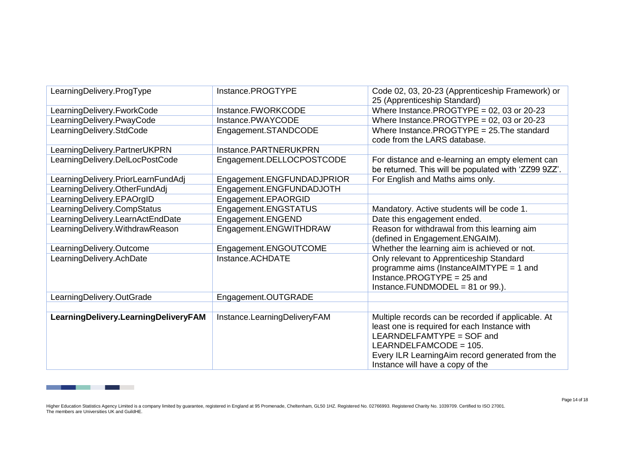| LearningDelivery.ProgType            | Instance.PROGTYPE            | Code 02, 03, 20-23 (Apprenticeship Framework) or<br>25 (Apprenticeship Standard)                                                                                                                                                                 |
|--------------------------------------|------------------------------|--------------------------------------------------------------------------------------------------------------------------------------------------------------------------------------------------------------------------------------------------|
| LearningDelivery.FworkCode           | Instance.FWORKCODE           | Where Instance.PROGTYPE = $02$ , $03$ or $20-23$                                                                                                                                                                                                 |
| LearningDelivery.PwayCode            | Instance.PWAYCODE            | Where Instance.PROGTYPE = 02, 03 or 20-23                                                                                                                                                                                                        |
| LearningDelivery.StdCode             | Engagement.STANDCODE         | Where Instance. PROGTYPE = $25$ . The standard<br>code from the LARS database.                                                                                                                                                                   |
| LearningDelivery.PartnerUKPRN        | Instance.PARTNERUKPRN        |                                                                                                                                                                                                                                                  |
| LearningDelivery.DelLocPostCode      | Engagement.DELLOCPOSTCODE    | For distance and e-learning an empty element can<br>be returned. This will be populated with 'ZZ99 9ZZ'.                                                                                                                                         |
| LearningDelivery.PriorLearnFundAdj   | Engagement.ENGFUNDADJPRIOR   | For English and Maths aims only.                                                                                                                                                                                                                 |
| LearningDelivery.OtherFundAdj        | Engagement.ENGFUNDADJOTH     |                                                                                                                                                                                                                                                  |
| LearningDelivery.EPAOrgID            | Engagement.EPAORGID          |                                                                                                                                                                                                                                                  |
| LearningDelivery.CompStatus          | Engagement.ENGSTATUS         | Mandatory. Active students will be code 1.                                                                                                                                                                                                       |
| LearningDelivery.LearnActEndDate     | Engagement.ENGEND            | Date this engagement ended.                                                                                                                                                                                                                      |
| LearningDelivery.WithdrawReason      | Engagement.ENGWITHDRAW       | Reason for withdrawal from this learning aim<br>(defined in Engagement.ENGAIM).                                                                                                                                                                  |
| LearningDelivery.Outcome             | Engagement.ENGOUTCOME        | Whether the learning aim is achieved or not.                                                                                                                                                                                                     |
| LearningDelivery.AchDate             | Instance.ACHDATE             | Only relevant to Apprenticeship Standard<br>programme aims (Instance AIMTYPE = 1 and<br>Instance.PROGTYPE = $25$ and<br>Instance. FUNDMODEL = $81$ or $99$ .).                                                                                   |
| LearningDelivery.OutGrade            | Engagement.OUTGRADE          |                                                                                                                                                                                                                                                  |
|                                      |                              |                                                                                                                                                                                                                                                  |
| LearningDelivery.LearningDeliveryFAM | Instance.LearningDeliveryFAM | Multiple records can be recorded if applicable. At<br>least one is required for each Instance with<br>LEARNDELFAMTYPE = SOF and<br>LEARNDELFAMCODE = 105.<br>Every ILR LearningAim record generated from the<br>Instance will have a copy of the |

\_\_\_\_\_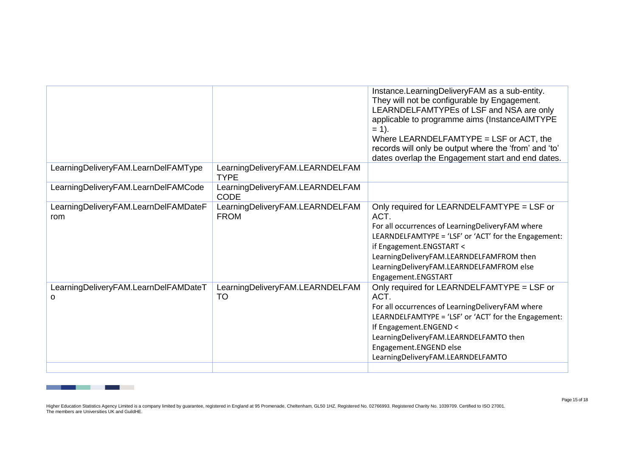|                                             |                                                | Instance.LearningDeliveryFAM as a sub-entity.<br>They will not be configurable by Engagement.<br>LEARNDELFAMTYPEs of LSF and NSA are only<br>applicable to programme aims (InstanceAIMTYPE<br>$= 1$ .<br>Where LEARNDELFAMTYPE = LSF or ACT, the<br>records will only be output where the 'from' and 'to'<br>dates overlap the Engagement start and end dates. |
|---------------------------------------------|------------------------------------------------|----------------------------------------------------------------------------------------------------------------------------------------------------------------------------------------------------------------------------------------------------------------------------------------------------------------------------------------------------------------|
| LearningDeliveryFAM.LearnDelFAMType         | LearningDeliveryFAM.LEARNDELFAM<br><b>TYPE</b> |                                                                                                                                                                                                                                                                                                                                                                |
| LearningDeliveryFAM.LearnDelFAMCode         | LearningDeliveryFAM.LEARNDELFAM<br><b>CODE</b> |                                                                                                                                                                                                                                                                                                                                                                |
| LearningDeliveryFAM.LearnDelFAMDateF<br>rom | LearningDeliveryFAM.LEARNDELFAM<br><b>FROM</b> | Only required for LEARNDELFAMTYPE = LSF or<br>ACT.<br>For all occurrences of LearningDeliveryFAM where<br>LEARNDELFAMTYPE = 'LSF' or 'ACT' for the Engagement:<br>if Engagement.ENGSTART <<br>LearningDeliveryFAM.LEARNDELFAMFROM then<br>LearningDeliveryFAM.LEARNDELFAMFROM else<br>Engagement.ENGSTART                                                      |
| LearningDeliveryFAM.LearnDelFAMDateT<br>0   | LearningDeliveryFAM.LEARNDELFAM<br>TO          | Only required for LEARNDELFAMTYPE = LSF or<br>ACT.<br>For all occurrences of LearningDeliveryFAM where<br>LEARNDELFAMTYPE = 'LSF' or 'ACT' for the Engagement:<br>If Engagement.ENGEND <<br>LearningDeliveryFAM.LEARNDELFAMTO then<br>Engagement.ENGEND else<br>LearningDeliveryFAM.LEARNDELFAMTO                                                              |

and the company of the company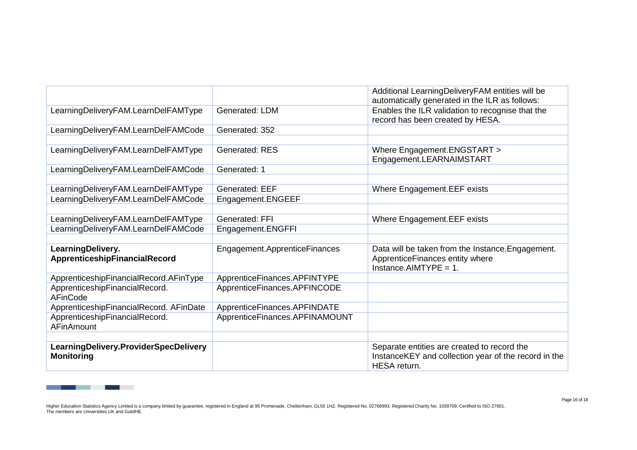|                                                            |                                | Additional LearningDeliveryFAM entities will be<br>automatically generated in the ILR as follows:                   |
|------------------------------------------------------------|--------------------------------|---------------------------------------------------------------------------------------------------------------------|
| LearningDeliveryFAM.LearnDelFAMType                        | Generated: LDM                 | Enables the ILR validation to recognise that the<br>record has been created by HESA.                                |
| LearningDeliveryFAM.LearnDelFAMCode                        | Generated: 352                 |                                                                                                                     |
|                                                            |                                |                                                                                                                     |
| LearningDeliveryFAM.LearnDelFAMType                        | <b>Generated: RES</b>          | Where Engagement.ENGSTART >                                                                                         |
|                                                            |                                | Engagement.LEARNAIMSTART                                                                                            |
| LearningDeliveryFAM.LearnDelFAMCode                        | Generated: 1                   |                                                                                                                     |
|                                                            |                                |                                                                                                                     |
| LearningDeliveryFAM.LearnDelFAMType                        | <b>Generated: EEF</b>          | Where Engagement.EEF exists                                                                                         |
| LearningDeliveryFAM.LearnDelFAMCode                        | Engagement.ENGEEF              |                                                                                                                     |
|                                                            |                                |                                                                                                                     |
| LearningDeliveryFAM.LearnDelFAMType                        | Generated: FFI                 | Where Engagement.EEF exists                                                                                         |
| LearningDeliveryFAM.LearnDelFAMCode                        | Engagement.ENGFFI              |                                                                                                                     |
|                                                            |                                |                                                                                                                     |
| LearningDelivery.<br>ApprenticeshipFinancialRecord         | Engagement.ApprenticeFinances  | Data will be taken from the Instance. Engagement.<br>ApprenticeFinances entity where<br>Instance.AIMTYPE = $1$ .    |
| ApprenticeshipFinancialRecord.AFinType                     | ApprenticeFinances.APFINTYPE   |                                                                                                                     |
| ApprenticeshipFinancialRecord.<br>AFinCode                 | ApprenticeFinances.APFINCODE   |                                                                                                                     |
| ApprenticeshipFinancialRecord. AFinDate                    | ApprenticeFinances.APFINDATE   |                                                                                                                     |
| ApprenticeshipFinancialRecord.                             | ApprenticeFinances.APFINAMOUNT |                                                                                                                     |
| <b>AFinAmount</b>                                          |                                |                                                                                                                     |
|                                                            |                                |                                                                                                                     |
| LearningDelivery.ProviderSpecDelivery<br><b>Monitoring</b> |                                | Separate entities are created to record the<br>InstanceKEY and collection year of the record in the<br>HESA return. |

and the company of the company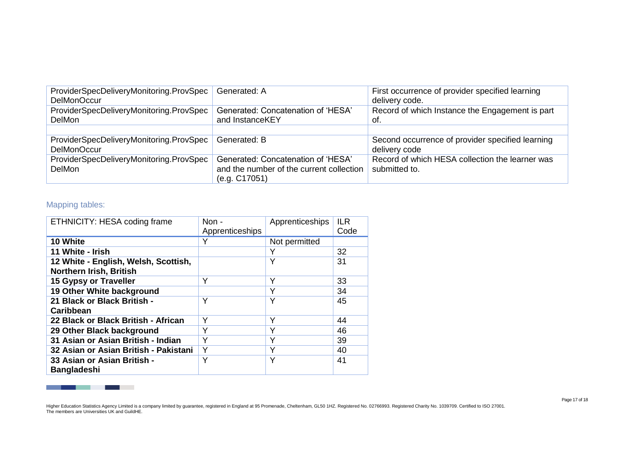| ProviderSpecDeliveryMonitoring.ProvSpec<br><b>DelMonOccur</b> | Generated: A                                                                                    | First occurrence of provider specified learning<br>delivery code. |
|---------------------------------------------------------------|-------------------------------------------------------------------------------------------------|-------------------------------------------------------------------|
| ProviderSpecDeliveryMonitoring.ProvSpec<br><b>DelMon</b>      | Generated: Concatenation of 'HESA'<br>and InstanceKEY                                           | Record of which Instance the Engagement is part<br>of.            |
|                                                               |                                                                                                 |                                                                   |
| ProviderSpecDeliveryMonitoring.ProvSpec<br>DelMonOccur        | Generated: B                                                                                    | Second occurrence of provider specified learning<br>delivery code |
| ProviderSpecDeliveryMonitoring.ProvSpec<br><b>DelMon</b>      | Generated: Concatenation of 'HESA'<br>and the number of the current collection<br>(e.g. C17051) | Record of which HESA collection the learner was<br>submitted to.  |

# Mapping tables:

\_\_\_\_

| ETHNICITY: HESA coding frame                                           | Non -           | Apprenticeships | <b>ILR</b> |
|------------------------------------------------------------------------|-----------------|-----------------|------------|
|                                                                        | Apprenticeships |                 | Code       |
| 10 White                                                               | Y               | Not permitted   |            |
| 11 White - Irish                                                       |                 | Y               | 32         |
| 12 White - English, Welsh, Scottish,<br><b>Northern Irish, British</b> |                 | Υ               | 31         |
| 15 Gypsy or Traveller                                                  | Y               | Υ               | 33         |
| 19 Other White background                                              |                 | Υ               | 34         |
| 21 Black or Black British -<br><b>Caribbean</b>                        | Υ               | Υ               | 45         |
| 22 Black or Black British - African                                    | Υ               | Υ               | 44         |
| 29 Other Black background                                              | Υ               | Y               | 46         |
| 31 Asian or Asian British - Indian                                     | Υ               | Υ               | 39         |
| 32 Asian or Asian British - Pakistani                                  | Υ               | Υ               | 40         |
| 33 Asian or Asian British -<br><b>Bangladeshi</b>                      | Y               | Υ               | 41         |